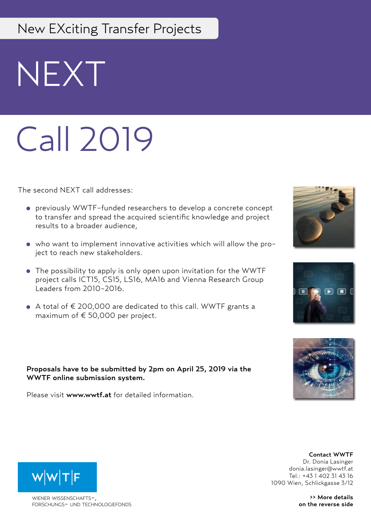## New EXciting Transfer Projects

NEXT

# Call 2019

The second NEXT call addresses:

- previously WWTF-funded researchers to develop a concrete concept to transfer and spread the acquired scientific knowledge and project results to a broader audience,
- who want to implement innovative activities which will allow the project to reach new stakeholders.
- The possibility to apply is only open upon invitation for the WWTF project calls ICT15, CS15, LS16, MA16 and Vienna Research Group Leaders from 2010-2016.
- A total of € 200,000 are dedicated to this call. WWTF grants a maximum of € 50,000 per project.

## Proposals have to be submitted by 2pm on April 25, 2019 via the WWTF online submission system.

Please visit www.wwtf.at for detailed information.







#### Contact WWTF Dr. Donia Lasinger donia.lasinger@wwtf.at Tel.: +43 1 402 31 43 16 1090 Wien, Schlickgasse 3/12

>> More details on the reverse side



WIENER WISSENSCHAFTSforschungs- und technologiefonds